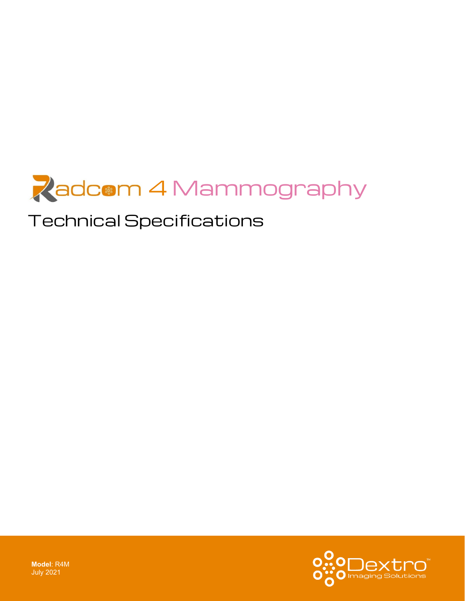

# Technical Specifications

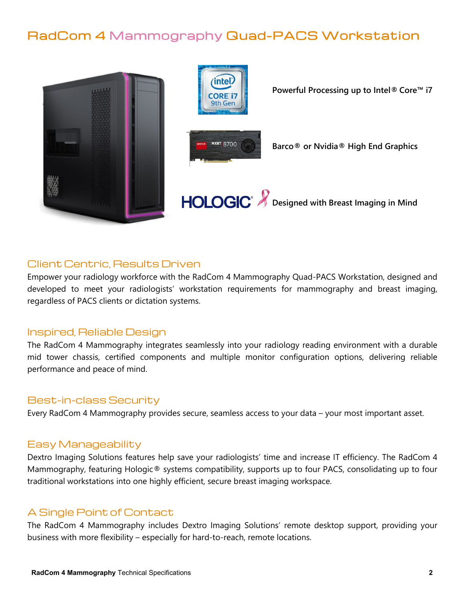## RadCom 4 Mammography Quad-PACS Workstation



### Client Centric, Results Driven

Empower your radiology workforce with the RadCom 4 Mammography Quad-PACS Workstation, designed and developed to meet your radiologists' workstation requirements for mammography and breast imaging, regardless of PACS clients or dictation systems.

### Inspired, Reliable Design

The RadCom 4 Mammography integrates seamlessly into your radiology reading environment with a durable mid tower chassis, certified components and multiple monitor configuration options, delivering reliable performance and peace of mind.

### Best-in-class Security

Every RadCom 4 Mammography provides secure, seamless access to your data – your most important asset.

### Easy Manageability

Dextro Imaging Solutions features help save your radiologists' time and increase IT efficiency. The RadCom 4 Mammography, featuring Hologic® systems compatibility, supports up to four PACS, consolidating up to four traditional workstations into one highly efficient, secure breast imaging workspace.

### A Single Point of Contact

The RadCom 4 Mammography includes Dextro Imaging Solutions' remote desktop support, providing your business with more flexibility – especially for hard-to-reach, remote locations.